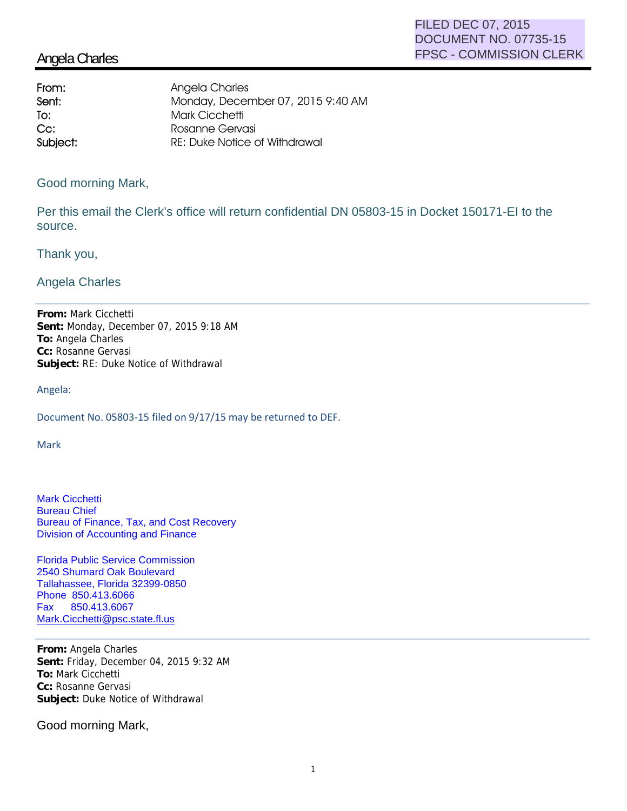## Angela Charles

| Angela Charles                       |
|--------------------------------------|
| Monday, December 07, 2015 9:40 AM    |
| Mark Cicchetti                       |
| Rosanne Gervasi                      |
| <b>RE: Duke Notice of Withdrawal</b> |
|                                      |

Good morning Mark,

Per this email the Clerk's office will return confidential DN 05803-15 in Docket 150171-EI to the source.

Thank you,

Angela Charles

**From:** Mark Cicchetti **Sent:** Monday, December 07, 2015 9:18 AM **To:** Angela Charles **Cc:** Rosanne Gervasi **Subject:** RE: Duke Notice of Withdrawal

Angela:

Document No. 05803-15 filed on 9/17/15 may be returned to DEF.

Mark

Mark Cicchetti Bureau Chief Bureau of Finance, Tax, and Cost Recovery Division of Accounting and Finance

Florida Public Service Commission 2540 Shumard Oak Boulevard Tallahassee, Florida 32399-0850 Phone 850.413.6066 Fax 850.413.6067 Mark.Cicchetti@psc.state.fl.us

**From:** Angela Charles **Sent:** Friday, December 04, 2015 9:32 AM **To:** Mark Cicchetti **Cc:** Rosanne Gervasi **Subject:** Duke Notice of Withdrawal

Good morning Mark,